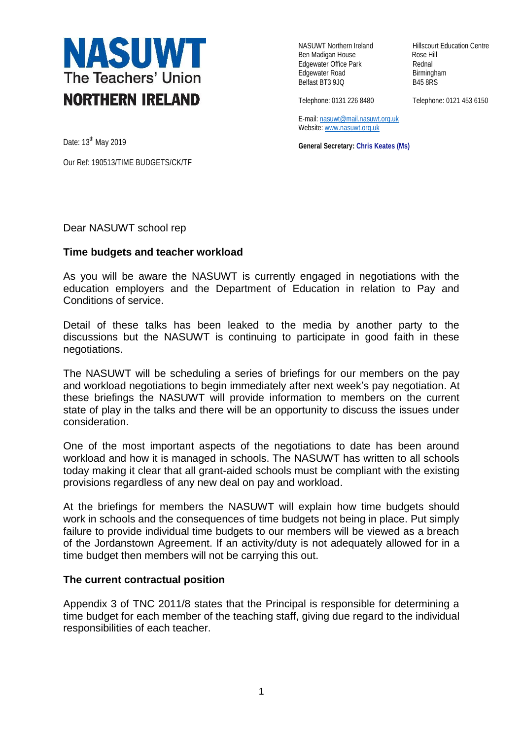

Ben Madigan House **Rose Hill** Edgewater Office Park **Rednal** Edgewater Road Birmingham<br>Belfast BT3 9JQ B45 8RS Belfast BT3 9JQ

NASUWT Northern Ireland Hillscourt Education Centre

Telephone: 0131 226 8480 Telephone: 0121 453 6150

E-mail[: nasuwt@mail.nasuwt.org.uk](mailto:nasuwt@mail.nasuwt.org.uk) Website: [www.nasuwt.org.uk](http://www.nasuwt.org.uk/)

**General Secretary: Chris Keates (Ms)**

Date: 13<sup>th</sup> May 2019

Our Ref: 190513/TIME BUDGETS/CK/TF

Dear NASUWT school rep

## **Time budgets and teacher workload**

As you will be aware the NASUWT is currently engaged in negotiations with the education employers and the Department of Education in relation to Pay and Conditions of service.

Detail of these talks has been leaked to the media by another party to the discussions but the NASUWT is continuing to participate in good faith in these negotiations.

The NASUWT will be scheduling a series of briefings for our members on the pay and workload negotiations to begin immediately after next week's pay negotiation. At these briefings the NASUWT will provide information to members on the current state of play in the talks and there will be an opportunity to discuss the issues under consideration.

One of the most important aspects of the negotiations to date has been around workload and how it is managed in schools. The NASUWT has written to all schools today making it clear that all grant-aided schools must be compliant with the existing provisions regardless of any new deal on pay and workload.

At the briefings for members the NASUWT will explain how time budgets should work in schools and the consequences of time budgets not being in place. Put simply failure to provide individual time budgets to our members will be viewed as a breach of the Jordanstown Agreement. If an activity/duty is not adequately allowed for in a time budget then members will not be carrying this out.

## **The current contractual position**

Appendix 3 of TNC 2011/8 states that the Principal is responsible for determining a time budget for each member of the teaching staff, giving due regard to the individual responsibilities of each teacher.